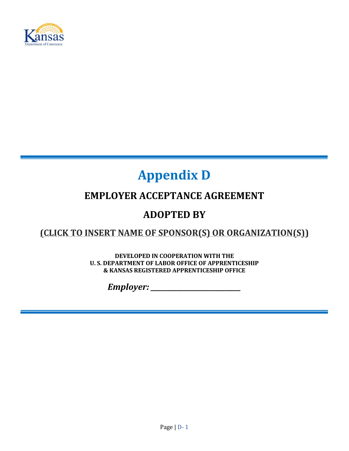

# **Appendix D**

## **EMPLOYER ACCEPTANCE AGREEMENT**

# **ADOPTED BY**

### **(CLICK TO INSERT NAME OF SPONSOR(S) OR ORGANIZATION(S))**

**DEVELOPED IN COOPERATION WITH THE U. S. DEPARTMENT OF LABOR OFFICE OF APPRENTICESHIP & KANSAS REGISTERED APPRENTICESHIP OFFICE**

*Employer: \_\_\_\_\_\_\_\_\_\_\_\_\_\_\_\_\_\_\_\_\_\_\_\_\_\_\_\_*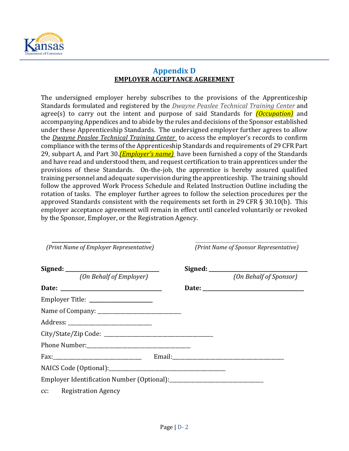

### **Appendix D EMPLOYER ACCEPTANCE AGREEMENT**

The undersigned employer hereby subscribes to the provisions of the Apprenticeship Standards formulated and registered by the *Dwayne Peaslee Technical Training Center* and agree(s) to carry out the intent and purpose of said Standards for *(Occupation)* and accompanying Appendices and to abide by the rules and decisions of the Sponsor established under these Apprenticeship Standards. The undersigned employer further agrees to allow the *Dwayne Peaslee Technical Training Center* to access the employer's records to confirm compliance with the terms of the Apprenticeship Standards and requirements of 29 CFR Part 29, subpart A, and Part 30.*(Employer's name)* have been furnished a copy of the Standards and have read and understood them, and request certification to train apprentices under the provisions of these Standards. On-the-job, the apprentice is hereby assured qualified training personnel and adequate supervision during the apprenticeship. The training should follow the approved Work Process Schedule and Related Instruction Outline including the rotation of tasks. The employer further agrees to follow the selection procedures per the approved Standards consistent with the requirements set forth in 29 CFR § 30.10(b). This employer acceptance agreement will remain in effect until canceled voluntarily or revoked by the Sponsor, Employer, or the Registration Agency.

| (Print Name of Employer Representative) | (Print Name of Sponsor Representative) |
|-----------------------------------------|----------------------------------------|
|                                         |                                        |
| (On Behalf of Employer)                 | (On Behalf of Sponsor)                 |
|                                         |                                        |
|                                         |                                        |
|                                         |                                        |
|                                         |                                        |
|                                         |                                        |
|                                         |                                        |
|                                         |                                        |
|                                         |                                        |
|                                         |                                        |
| cc: Registration Agency                 |                                        |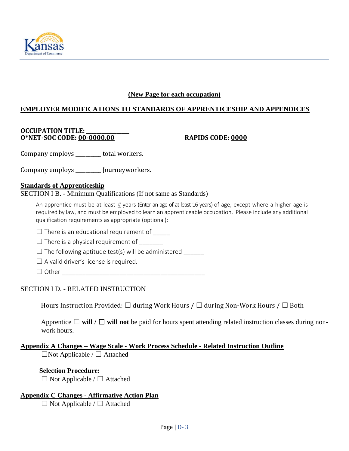

#### **(New Page for each occupation)**

#### **EMPLOYER MODIFICATIONS TO STANDARDS OF APPRENTICESHIP AND APPENDICES**

**OCCUPATION TITLE: O\*NET-SOC CODE: 00-0000.00 RAPIDS CODE: 0000**

Company employs total workers.

Company employs \_\_\_\_\_\_\_\_\_\_ Journeyworkers.

#### **Standards of Apprenticeship**

SECTION I B. - Minimum Qualifications (If not same as Standards)

An apprentice must be at least *#* years (Enter an age of at least 16 years) of age, except where a higher age is required by law, and must be employed to learn an apprenticeable occupation. Please include any additional qualification requirements as appropriate (optional):

 $\Box$  There is an educational requirement of  $\rule{1em}{0.15mm}$ 

 $\Box$  There is a physical requirement of

 $\Box$  The following aptitude test(s) will be administered \_\_\_\_\_\_

 $\Box$  A valid driver's license is required.

☐ Other \_\_\_\_\_\_\_\_\_\_\_\_\_\_\_\_\_\_\_\_\_\_\_\_\_\_\_\_\_\_\_\_\_\_\_\_\_\_\_\_\_\_

#### SECTION I D. - RELATED INSTRUCTION

Hours Instruction Provided:  $\Box$  during Work Hours /  $\Box$  during Non-Work Hours /  $\Box$  Both

Apprentice ☐ **will /** ☐ **will not** be paid for hours spent attending related instruction classes during nonwork hours.

### **Appendix A Changes – Wage Scale - Work Process Schedule - Related Instruction Outline**

☐Not Applicable / ☐ Attached

#### **Selection Procedure:**

☐ Not Applicable / ☐ Attached

#### **Appendix C Changes - Affirmative Action Plan**

☐ Not Applicable / ☐ Attached